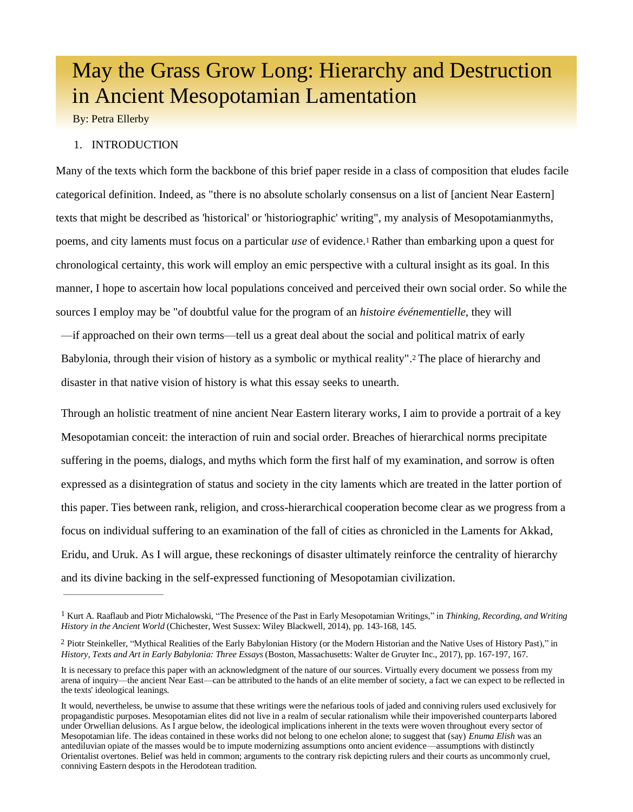# May the Grass Grow Long: Hierarchy and Destruction in Ancient Mesopotamian Lamentation

By: Petra Ellerby

## 1. INTRODUCTION

Many of the texts which form the backbone of this brief paper reside in a class of composition that eludes facile categorical definition. Indeed, as "there is no absolute scholarly consensus on a list of [ancient Near Eastern] texts that might be described as 'historical' or 'historiographic' writing", my analysis of Mesopotamianmyths, poems, and city laments must focus on a particular *use* of evidence[.](#page-0-0)<sup>1</sup> Rather than embarking upon a quest for chronological certainty, this work will employ an emic perspective with a cultural insight as its goal. In this manner, I hope to ascertain how local populations conceived and perceived their own social order. So while the sources I employ may be "of doubtful value for the program of an *histoire événementielle*, they will

—if approached on their own terms—tell us a great deal about the social and political matrix of early Babylonia, through their vision of history as a symbolic or mythical reality". [2](#page-0-1) The place of hierarchy and disaster in that native vision of history is what this essay seeks to unearth.

Through an holistic treatment of nine ancient Near Eastern literary works, I aim to provide a portrait of a key Mesopotamian conceit: the interaction of ruin and social order. Breaches of hierarchical norms precipitate suffering in the poems, dialogs, and myths which form the first half of my examination, and sorrow is often expressed as a disintegration of status and society in the city laments which are treated in the latter portion of this paper. Ties between rank, religion, and cross-hierarchical cooperation become clear as we progress from a focus on individual suffering to an examination of the fall of cities as chronicled in the Laments for Akkad, Eridu, and Uruk. As I will argue, these reckonings of disaster ultimately reinforce the centrality of hierarchy and its divine backing in the self-expressed functioning of Mesopotamian civilization.

<span id="page-0-0"></span><sup>1</sup> Kurt A. Raaflaub and Piotr Michalowski, "The Presence of the Past in Early Mesopotamian Writings," in *Thinking, Recording, and Writing History in the Ancient World* (Chichester, West Sussex: Wiley Blackwell, 2014), pp. 143-168, 145.

<span id="page-0-1"></span><sup>2</sup> Piotr Steinkeller, "Mythical Realities of the Early Babylonian History (or the Modern Historian and the Native Uses of History Past)," in *History, Texts and Art in Early Babylonia: Three Essays* (Boston, Massachusetts: Walter de Gruyter Inc., 2017), pp. 167-197, 167.

It is necessary to preface this paper with an acknowledgment of the nature of our sources. Virtually every document we possess from my arena of inquiry—the ancient Near East—can be attributed to the hands of an elite member of society, a fact we can expect to be reflected in the texts' ideological leanings.

It would, nevertheless, be unwise to assume that these writings were the nefarious tools of jaded and conniving rulers used exclusively for propagandistic purposes. Mesopotamian elites did not live in a realm of secular rationalism while their impoverished counterparts labored under Orwellian delusions. As I argue below, the ideological implications inherent in the texts were woven throughout every sector of Mesopotamian life. The ideas contained in these works did not belong to one echelon alone; to suggest that (say) *Enuma Elish* was an antediluvian opiate of the masses would be to impute modernizing assumptions onto ancient evidence—assumptions with distinctly Orientalist overtones. Belief was held in common; arguments to the contrary risk depicting rulers and their courts as uncommonly cruel, conniving Eastern despots in the Herodotean tradition.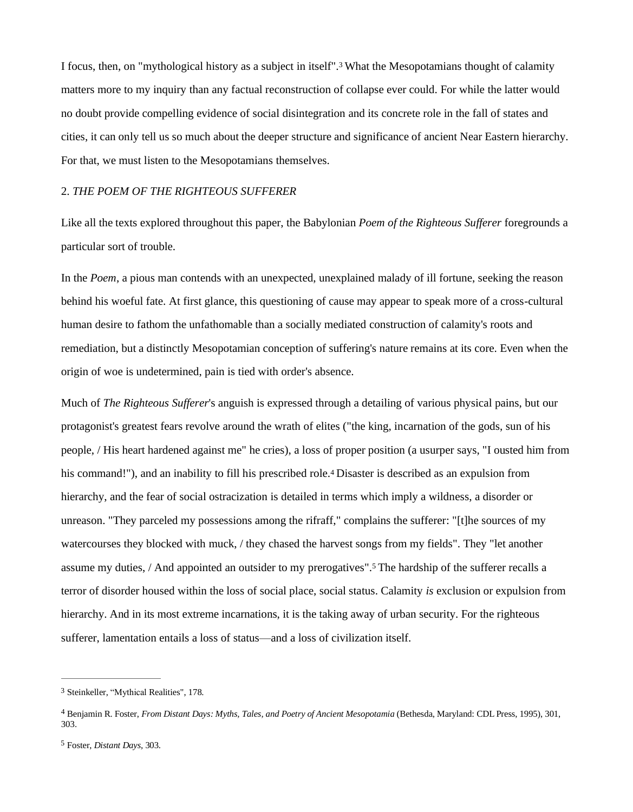I focus, then, on "mythological history as a subject in itself".[3](#page-1-0) What the Mesopotamians thought of calamity matters more to my inquiry than any factual reconstruction of collapse ever could. For while the latter would no doubt provide compelling evidence of social disintegration and its concrete role in the fall of states and cities, it can only tell us so much about the deeper structure and significance of ancient Near Eastern hierarchy. For that, we must listen to the Mesopotamians themselves.

## 2. *THE POEM OF THE RIGHTEOUS SUFFERER*

Like all the texts explored throughout this paper, the Babylonian *Poem of the Righteous Sufferer* foregrounds a particular sort of trouble.

In the *Poem*, a pious man contends with an unexpected, unexplained malady of ill fortune, seeking the reason behind his woeful fate. At first glance, this questioning of cause may appear to speak more of a cross-cultural human desire to fathom the unfathomable than a socially mediated construction of calamity's roots and remediation, but a distinctly Mesopotamian conception of suffering's nature remains at its core. Even when the origin of woe is undetermined, pain is tied with order's absence.

Much of *The Righteous Sufferer*'s anguish is expressed through a detailing of various physical pains, but our protagonist's greatest fears revolve around the wrath of elites ("the king, incarnation of the gods, sun of his people, / His heart hardened against me" he cries), a loss of proper position (a usurper says, "I ousted him from his command!"), and an inability to fill his prescribed role.[4](#page-1-1) Disaster is described as an expulsion from hierarchy, and the fear of social ostracization is detailed in terms which imply a wildness, a disorder or unreason. "They parceled my possessions among the rifraff," complains the sufferer: "[t]he sources of my watercourses they blocked with muck, / they chased the harvest songs from my fields". They "let another assume my duties, / And appointed an outsider to my prerogatives".[5](#page-1-2) The hardship of the sufferer recalls a terror of disorder housed within the loss of social place, social status. Calamity *is* exclusion or expulsion from hierarchy. And in its most extreme incarnations, it is the taking away of urban security. For the righteous sufferer, lamentation entails a loss of status—and a loss of civilization itself.

<span id="page-1-0"></span><sup>3</sup> Steinkeller, "Mythical Realities", 178.

<span id="page-1-1"></span><sup>4</sup> Benjamin R. Foster, *From Distant Days: Myths, Tales, and Poetry of Ancient Mesopotamia* (Bethesda, Maryland: CDL Press, 1995), 301, 303.

<span id="page-1-2"></span><sup>5</sup> Foster, *Distant Days,* 303.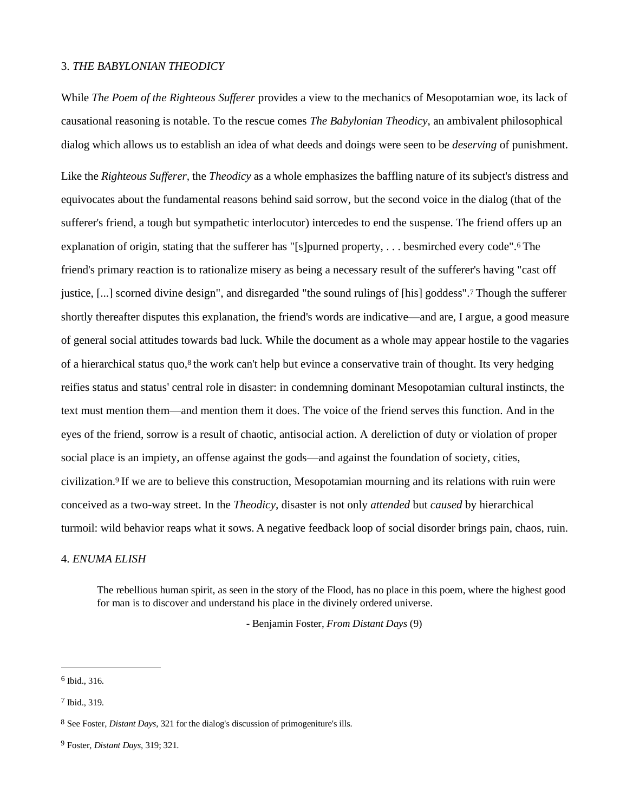#### 3. *THE BABYLONIAN THEODICY*

While *The Poem of the Righteous Sufferer* provides a view to the mechanics of Mesopotamian woe, its lack of causational reasoning is notable. To the rescue comes *The Babylonian Theodicy*, an ambivalent philosophical dialog which allows us to establish an idea of what deeds and doings were seen to be *deserving* of punishment.

<span id="page-2-4"></span>Like the *Righteous Sufferer,* the *Theodicy* as a whole emphasizes the baffling nature of its subject's distress and equivocates about the fundamental reasons behind said sorrow, but the second voice in the dialog (that of the sufferer's friend, a tough but sympathetic interlocutor) intercedes to end the suspense. The friend offers up an explanation of origin, stating that the sufferer has "[s]purned property, . . . besmirched every code".[6](#page-2-0) The friend's primary reaction is to rationalize misery as being a necessary result of the sufferer's having "cast off justice, [...] scorned divine design", and disregarded "the sound rulings of [his] goddess".[7](#page-2-1) Though the sufferer shortly thereafter disputes this explanation, the friend's words are indicative—and are, I argue, a good measure of general social attitudes towards bad luck. While the document as a whole may appear hostile to the vagaries of a hierarchical status quo,<sup>[8](#page-2-2)</sup> the work can't help but evince a conservative train of thought. Its very hedging reifies status and status' central role in disaster: in condemning dominant Mesopotamian cultural instincts, the text must mention them—and mention them it does. The voice of the friend serves this function. And in the eyes of the friend, sorrow is a result of chaotic, antisocial action. A dereliction of duty or violation of proper social place is an impiety, an offense against the gods—and against the foundation of society, cities, civilization.[9](#page-2-3) If we are to believe this construction, Mesopotamian mourning and its relations with ruin were conceived as a two-way street. In the *Theodicy,* disaster is not only *attended* but *caused* by hierarchical turmoil: wild behavior reaps what it sows. A negative feedback loop of social disorder brings pain, chaos, ruin.

#### 4. *ENUMA ELISH*

The rebellious human spirit, as seen in the story of the Flood, has no place in this poem, where the highest good for man is to discover and understand his place in the divinely ordered universe.

<span id="page-2-5"></span>- Benjamin Foster, *From Distant Days* (9)

<span id="page-2-0"></span>[<sup>6</sup>](#page-2-4) Ibid., 316.

<span id="page-2-1"></span>[<sup>7</sup>](#page-2-5) Ibid., 319.

<span id="page-2-2"></span><sup>8</sup> See Foster, *Distant Days,* 321 for the dialog's discussion of primogeniture's ills.

<span id="page-2-3"></span><sup>9</sup> Foster, *Distant Days,* 319; 321.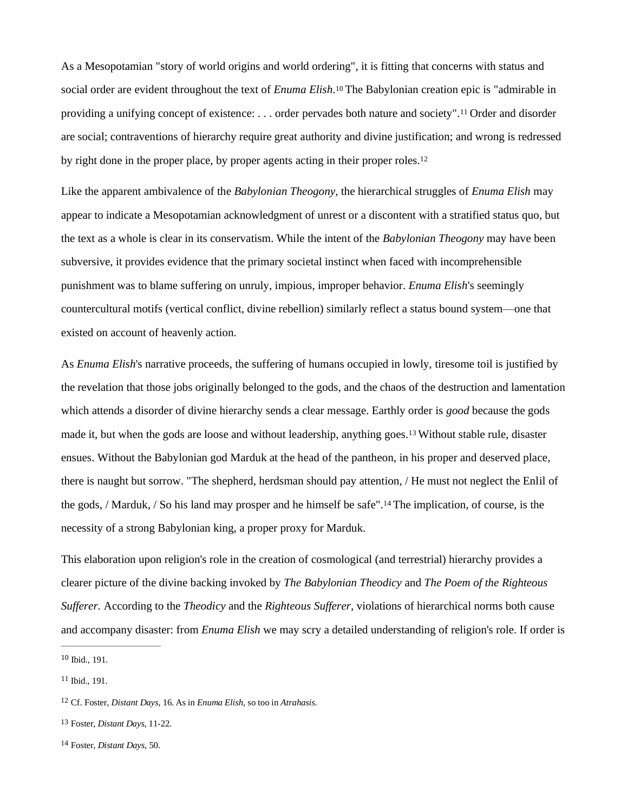<span id="page-3-6"></span><span id="page-3-5"></span>As a Mesopotamian "story of world origins and world ordering", it is fitting that concerns with status and social order are evident throughout the text of *Enuma Elish*. [10](#page-3-0) The Babylonian creation epic is "admirable in providing a unifying concept of existence: . . . order pervades both nature and society".[11](#page-3-1) Order and disorder are social; contraventions of hierarchy require great authority and divine justification; and wrong is redressed by right done in the proper place, by proper agents acting in their proper roles.[12](#page-3-2)

Like the apparent ambivalence of the *Babylonian Theogony*, the hierarchical struggles of *Enuma Elish* may appear to indicate a Mesopotamian acknowledgment of unrest or a discontent with a stratified status quo, but the text as a whole is clear in its conservatism. While the intent of the *Babylonian Theogony* may have been subversive, it provides evidence that the primary societal instinct when faced with incomprehensible punishment was to blame suffering on unruly, impious, improper behavior. *Enuma Elish*'s seemingly countercultural motifs (vertical conflict, divine rebellion) similarly reflect a status bound system—one that existed on account of heavenly action.

As *Enuma Elish*'s narrative proceeds, the suffering of humans occupied in lowly, tiresome toil is justified by the revelation that those jobs originally belonged to the gods, and the chaos of the destruction and lamentation which attends a disorder of divine hierarchy sends a clear message. Earthly order is *good* because the gods made it, but when the gods are loose and without leadership, anything goes.[13](#page-3-3) Without stable rule, disaster ensues. Without the Babylonian god Marduk at the head of the pantheon, in his proper and deserved place, there is naught but sorrow. "The shepherd, herdsman should pay attention, / He must not neglect the Enlil of the gods, / Marduk, / So his land may prosper and he himself be safe".[14](#page-3-4) The implication, of course, is the necessity of a strong Babylonian king, a proper proxy for Marduk.

This elaboration upon religion's role in the creation of cosmological (and terrestrial) hierarchy provides a clearer picture of the divine backing invoked by *The Babylonian Theodicy* and *The Poem of the Righteous Sufferer.* According to the *Theodicy* and the *Righteous Sufferer*, violations of hierarchical norms both cause and accompany disaster: from *Enuma Elish* we may scry a detailed understanding of religion's role. If order is

<span id="page-3-0"></span> $10$  Ibid., 191.

<span id="page-3-1"></span>[<sup>11</sup>](#page-3-6) Ibid., 191.

<span id="page-3-2"></span><sup>12</sup> Cf. Foster, *Distant Days*, 16. As in *Enuma Elish*, so too in *Atrahasis*.

<span id="page-3-3"></span><sup>13</sup> Foster, *Distant Days,* 11-22.

<span id="page-3-4"></span><sup>14</sup> Foster, *Distant Days*, 50.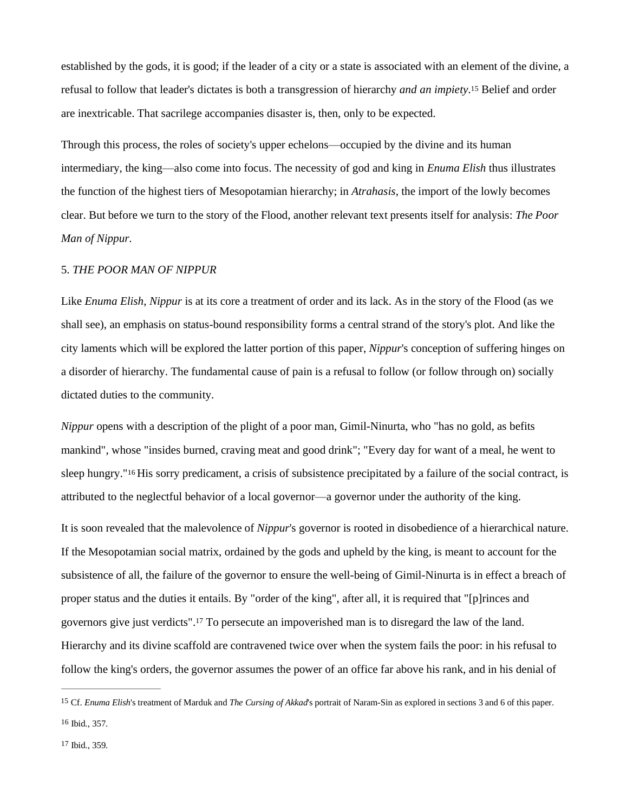established by the gods, it is good; if the leader of a city or a state is associated with an element of the divine, a refusal to follow that leader's dictates is both a transgression of hierarchy *and an impiety*. [15](#page-4-0) Belief and order are inextricable. That sacrilege accompanies disaster is, then, only to be expected.

Through this process, the roles of society's upper echelons—occupied by the divine and its human intermediary, the king—also come into focus. The necessity of god and king in *Enuma Elish* thus illustrates the function of the highest tiers of Mesopotamian hierarchy; in *Atrahasis*, the import of the lowly becomes clear. But before we turn to the story of the Flood, another relevant text presents itself for analysis: *The Poor Man of Nippur.*

## 5. *THE POOR MAN OF NIPPUR*

Like *Enuma Elish*, *Nippur* is at its core a treatment of order and its lack. As in the story of the Flood (as we shall see), an emphasis on status-bound responsibility forms a central strand of the story's plot. And like the city laments which will be explored the latter portion of this paper, *Nippur*'s conception of suffering hinges on a disorder of hierarchy. The fundamental cause of pain is a refusal to follow (or follow through on) socially dictated duties to the community.

<span id="page-4-3"></span>*Nippur* opens with a description of the plight of a poor man, Gimil-Ninurta, who "has no gold, as befits mankind", whose "insides burned, craving meat and good drink"; "Every day for want of a meal, he went to sleep hungry."[16](#page-4-1) His sorry predicament, a crisis of subsistence precipitated by a failure of the social contract, is attributed to the neglectful behavior of a local governor—a governor under the authority of the king.

It is soon revealed that the malevolence of *Nippur*'s governor is rooted in disobedience of a hierarchical nature. If the Mesopotamian social matrix, ordained by the gods and upheld by the king, is meant to account for the subsistence of all, the failure of the governor to ensure the well-being of Gimil-Ninurta is in effect a breach of proper status and the duties it entails. By "order of the king", after all, it is required that "[p]rinces and governors give just verdicts".[17](#page-4-2) To persecute an impoverished man is to disregard the law of the land. Hierarchy and its divine scaffold are contravened twice over when the system fails the poor: in his refusal to follow the king's orders, the governor assumes the power of an office far above his rank, and in his denial of

<span id="page-4-4"></span><span id="page-4-1"></span><span id="page-4-0"></span><sup>15</sup> Cf. *Enuma Elish*'s treatment of Marduk and *The Cursing of Akkad*'s portrait of Naram-Sin as explored in sections 3 and 6 of this paper.  $16$  Ibid., 357.

<span id="page-4-2"></span>[<sup>17</sup>](#page-4-4) Ibid., 359.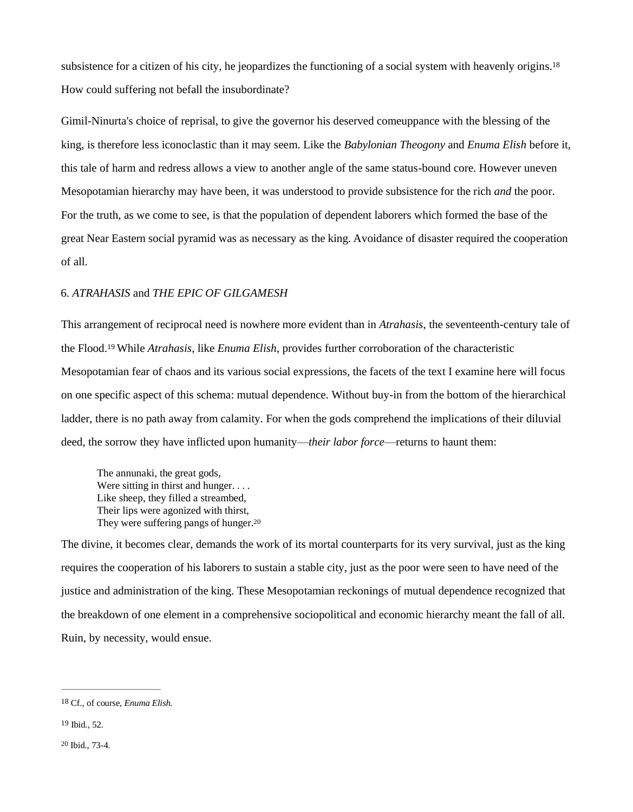<span id="page-5-3"></span>subsistence for a citizen of his city, he jeopardizes the functioning of a social system with heavenly origins.<sup>[18](#page-5-0)</sup> How could suffering not befall the insubordinate?

Gimil-Ninurta's choice of reprisal, to give the governor his deserved comeuppance with the blessing of the king, is therefore less iconoclastic than it may seem. Like the *Babylonian Theogony* and *Enuma Elish* before it, this tale of harm and redress allows a view to another angle of the same status-bound core. However uneven Mesopotamian hierarchy may have been, it was understood to provide subsistence for the rich *and* the poor. For the truth, as we come to see, is that the population of dependent laborers which formed the base of the great Near Eastern social pyramid was as necessary as the king. Avoidance of disaster required the cooperation of all.

## 6. *ATRAHASIS* and *THE EPIC OF GILGAMESH*

<span id="page-5-4"></span>This arrangement of reciprocal need is nowhere more evident than in *Atrahasis*, the seventeenth-century tale of the Flood.[19](#page-5-1) While *Atrahasis*, like *Enuma Elish*, provides further corroboration of the characteristic Mesopotamian fear of chaos and its various social expressions, the facets of the text I examine here will focus on one specific aspect of this schema: mutual dependence. Without buy-in from the bottom of the hierarchical ladder, there is no path away from calamity. For when the gods comprehend the implications of their diluvial deed, the sorrow they have inflicted upon humanity—*their labor force*—returns to haunt them:

<span id="page-5-5"></span>The annunaki, the great gods, Were sitting in thirst and hunger. . . . Like sheep, they filled a streambed, Their lips were agonized with thirst, They were suffering pangs of hunger.<sup>[20](#page-5-2)</sup>

The divine, it becomes clear, demands the work of its mortal counterparts for its very survival, just as the king requires the cooperation of his laborers to sustain a stable city, just as the poor were seen to have need of the justice and administration of the king. These Mesopotamian reckonings of mutual dependence recognized that the breakdown of one element in a comprehensive sociopolitical and economic hierarchy meant the fall of all. Ruin, by necessity, would ensue.

<span id="page-5-0"></span>[<sup>18</sup>](#page-5-3) Cf., of course, *Enuma Elish.*

<span id="page-5-1"></span>[<sup>19</sup>](#page-5-4) Ibid., 52.

<span id="page-5-2"></span>[<sup>20</sup>](#page-5-5) Ibid., 73-4.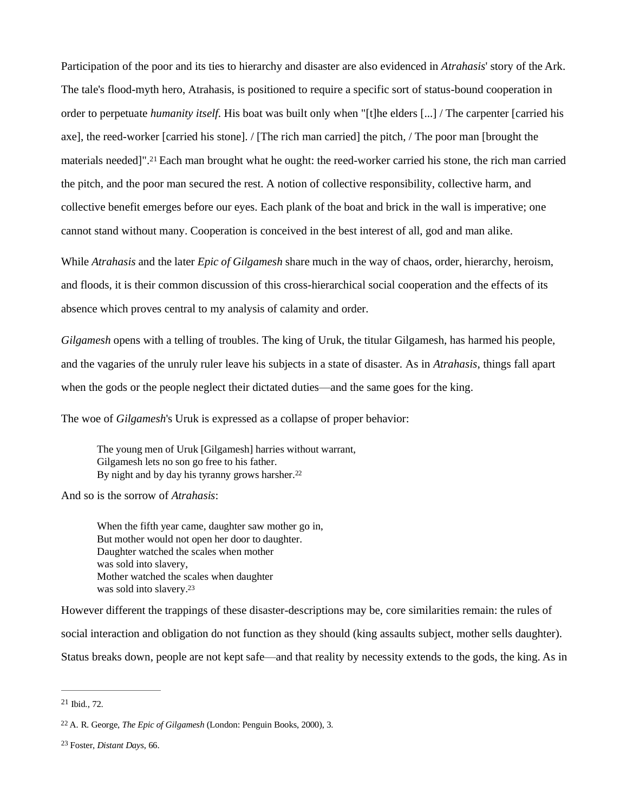<span id="page-6-3"></span>Participation of the poor and its ties to hierarchy and disaster are also evidenced in *Atrahasis*' story of the Ark. The tale's flood-myth hero, Atrahasis, is positioned to require a specific sort of status-bound cooperation in order to perpetuate *humanity itself*. His boat was built only when "[t]he elders [...] / The carpenter [carried his axe], the reed-worker [carried his stone]. / [The rich man carried] the pitch, / The poor man [brought the materials needed]".[21](#page-6-0) Each man brought what he ought: the reed-worker carried his stone, the rich man carried the pitch, and the poor man secured the rest. A notion of collective responsibility, collective harm, and collective benefit emerges before our eyes. Each plank of the boat and brick in the wall is imperative; one cannot stand without many. Cooperation is conceived in the best interest of all, god and man alike.

While *Atrahasis* and the later *Epic of Gilgamesh* share much in the way of chaos, order, hierarchy, heroism, and floods, it is their common discussion of this cross-hierarchical social cooperation and the effects of its absence which proves central to my analysis of calamity and order.

*Gilgamesh* opens with a telling of troubles. The king of Uruk, the titular Gilgamesh, has harmed his people, and the vagaries of the unruly ruler leave his subjects in a state of disaster. As in *Atrahasis*, things fall apart when the gods or the people neglect their dictated duties—and the same goes for the king.

The woe of *Gilgamesh*'s Uruk is expressed as a collapse of proper behavior:

The young men of Uruk [Gilgamesh] harries without warrant, Gilgamesh lets no son go free to his father. By night and by day his tyranny grows harsher.<sup>[22](#page-6-1)</sup>

And so is the sorrow of *Atrahasis*:

When the fifth year came, daughter saw mother go in, But mother would not open her door to daughter. Daughter watched the scales when mother was sold into slavery, Mother watched the scales when daughter was sold into slavery.[23](#page-6-2)

However different the trappings of these disaster-descriptions may be, core similarities remain: the rules of social interaction and obligation do not function as they should (king assaults subject, mother sells daughter). Status breaks down, people are not kept safe—and that reality by necessity extends to the gods, the king. As in

<span id="page-6-1"></span><span id="page-6-0"></span>[<sup>21</sup>](#page-6-3) Ibid., 72.

<sup>22</sup> A. R. George, *The Epic of Gilgamesh* (London: Penguin Books, 2000), 3.

<span id="page-6-2"></span><sup>23</sup> Foster, *Distant Days*, 66.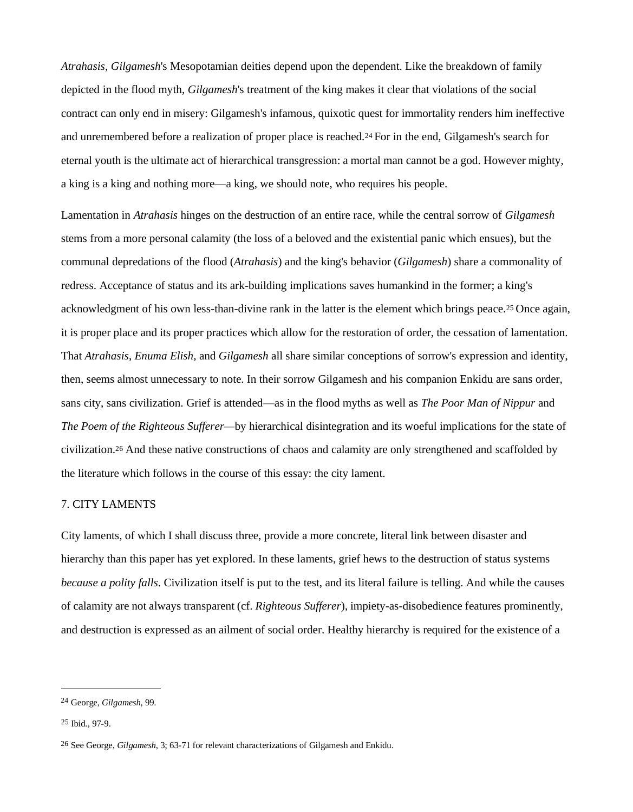*Atrahasis*, *Gilgamesh*'s Mesopotamian deities depend upon the dependent. Like the breakdown of family depicted in the flood myth, *Gilgamesh*'s treatment of the king makes it clear that violations of the social contract can only end in misery: Gilgamesh's infamous, quixotic quest for immortality renders him ineffective and unremembered before a realization of proper place is reached.[24](#page-7-0) For in the end, Gilgamesh's search for eternal youth is the ultimate act of hierarchical transgression: a mortal man cannot be a god. However mighty, a king is a king and nothing more—a king, we should note, who requires his people.

<span id="page-7-3"></span>Lamentation in *Atrahasis* hinges on the destruction of an entire race, while the central sorrow of *Gilgamesh* stems from a more personal calamity (the loss of a beloved and the existential panic which ensues), but the communal depredations of the flood (*Atrahasis*) and the king's behavior (*Gilgamesh*) share a commonality of redress. Acceptance of status and its ark-building implications saves humankind in the former; a king's acknowledgment of his own less-than-divine rank in the latter is the element which brings peace.[25](#page-7-1) Once again, it is proper place and its proper practices which allow for the restoration of order, the cessation of lamentation. That *Atrahasis*, *Enuma Elish*, and *Gilgamesh* all share similar conceptions of sorrow's expression and identity, then, seems almost unnecessary to note. In their sorrow Gilgamesh and his companion Enkidu are sans order, sans city, sans civilization. Grief is attended—as in the flood myths as well as *The Poor Man of Nippur* and *The Poem of the Righteous Sufferer—*by hierarchical disintegration and its woeful implications for the state of civilization.[26](#page-7-2) And these native constructions of chaos and calamity are only strengthened and scaffolded by the literature which follows in the course of this essay: the city lament.

## 7. CITY LAMENTS

City laments*,* of which I shall discuss three, provide a more concrete, literal link between disaster and hierarchy than this paper has yet explored. In these laments, grief hews to the destruction of status systems *because a polity falls*. Civilization itself is put to the test, and its literal failure is telling. And while the causes of calamity are not always transparent (cf. *Righteous Sufferer*), impiety-as-disobedience features prominently, and destruction is expressed as an ailment of social order. Healthy hierarchy is required for the existence of a

<span id="page-7-0"></span><sup>24</sup> George, *Gilgamesh*, 99.

<span id="page-7-1"></span>[<sup>25</sup>](#page-7-3) Ibid., 97-9.

<span id="page-7-2"></span><sup>26</sup> See George, *Gilgamesh*, 3; 63-71 for relevant characterizations of Gilgamesh and Enkidu.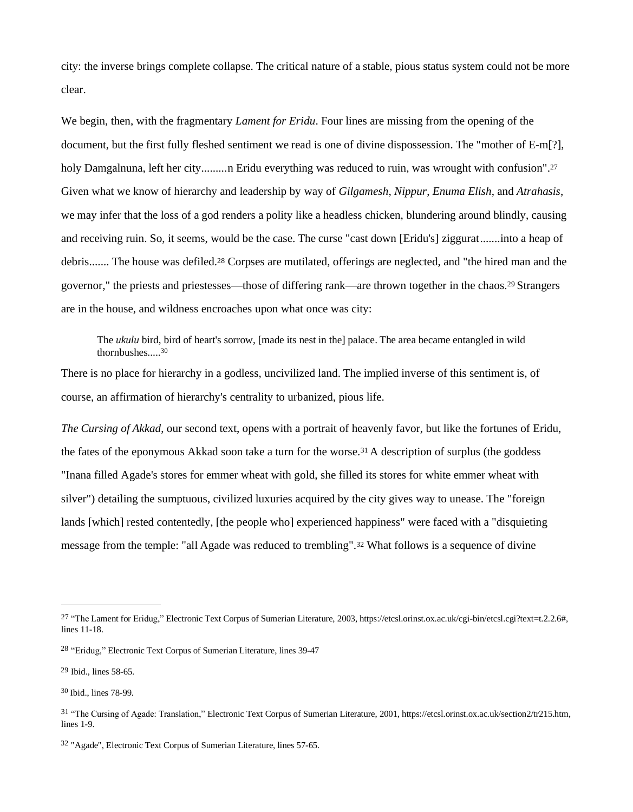city: the inverse brings complete collapse. The critical nature of a stable, pious status system could not be more clear.

We begin, then, with the fragmentary *Lament for Eridu*. Four lines are missing from the opening of the document, but the first fully fleshed sentiment we read is one of divine dispossession. The "mother of E-m[?], holy Damgalnuna, left her city.........n Eridu everything was reduced to ruin, was wrought with confusion".<sup>[27](#page-8-0)</sup> Given what we know of hierarchy and leadership by way of *Gilgamesh*, *Nippur*, *Enuma Elish*, and *Atrahasis*, we may infer that the loss of a god renders a polity like a headless chicken, blundering around blindly, causing and receiving ruin. So, it seems, would be the case. The curse "cast down [Eridu's] ziggurat.......into a heap of debris....... The house was defiled.[28](#page-8-1) Corpses are mutilated, offerings are neglected, and "the hired man and the governor," the priests and priestesses—those of differing rank—are thrown together in the chaos.[29](#page-8-2) Strangers are in the house, and wildness encroaches upon what once was city:

The *ukulu* bird, bird of heart's sorrow, [made its nest in the] palace. The area became entangled in wild thornbushes..... [30](#page-8-3)

There is no place for hierarchy in a godless, uncivilized land. The implied inverse of this sentiment is, of course, an affirmation of hierarchy's centrality to urbanized, pious life.

*The Cursing of Akkad*, our second text, opens with a portrait of heavenly favor, but like the fortunes of Eridu, the fates of the eponymous Akkad soon take a turn for the worse.[31](#page-8-4) A description of surplus (the goddess "Inana filled Agade's stores for emmer wheat with gold, she filled its stores for white emmer wheat with silver") detailing the sumptuous, civilized luxuries acquired by the city gives way to unease. The "foreign lands [which] rested contentedly, [the people who] experienced happiness" were faced with a "disquieting message from the temple: "all Agade was reduced to trembling".[32](#page-8-5) What follows is a sequence of divine

<span id="page-8-0"></span><sup>27</sup> "The Lament for Eridug," Electronic Text Corpus of Sumerian Literature, 2003, https://etcsl.orinst.ox.ac.uk/cgi-bin/etcsl.cgi?text=t.2.2.6#, lines 11-18.

<span id="page-8-1"></span><sup>28</sup> "Eridug," Electronic Text Corpus of Sumerian Literature, lines 39-47

<span id="page-8-3"></span><span id="page-8-2"></span><sup>29</sup> Ibid., lines 58-65.

<sup>30</sup> Ibid., lines 78-99.

<span id="page-8-4"></span><sup>31</sup> "The Cursing of Agade: Translation," Electronic Text Corpus of Sumerian Literature, 2001, https://etcsl.orinst.ox.ac.uk/section2/tr215.htm, lines 1-9.

<span id="page-8-5"></span><sup>32</sup> "Agade", Electronic Text Corpus of Sumerian Literature, lines 57-65.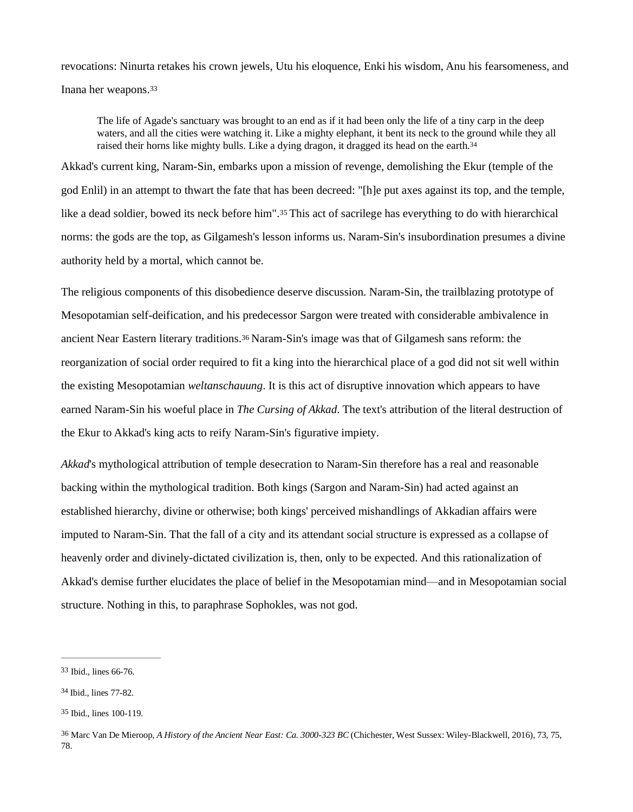revocations: Ninurta retakes his crown jewels, Utu his eloquence, Enki his wisdom, Anu his fearsomeness, and Inana her weapons.[33](#page-9-0)

<span id="page-9-4"></span>The life of Agade's sanctuary was brought to an end as if it had been only the life of a tiny carp in the deep waters, and all the cities were watching it. Like a mighty elephant, it bent its neck to the ground while they all raised their horns like mighty bulls. Like a dying dragon, it dragged its head on the earth.<sup>[34](#page-9-1)</sup>

Akkad's current king, Naram-Sin, embarks upon a mission of revenge, demolishing the Ekur (temple of the god Enlil) in an attempt to thwart the fate that has been decreed: "[h]e put axes against its top, and the temple, like a dead soldier, bowed its neck before him".[35](#page-9-2) This act of sacrilege has everything to do with hierarchical norms: the gods are the top, as Gilgamesh's lesson informs us. Naram-Sin's insubordination presumes a divine authority held by a mortal, which cannot be.

The religious components of this disobedience deserve discussion. Naram-Sin, the trailblazing prototype of Mesopotamian self-deification, and his predecessor Sargon were treated with considerable ambivalence in ancient Near Eastern literary traditions.[36](#page-9-3) Naram-Sin's image was that of Gilgamesh sans reform: the reorganization of social order required to fit a king into the hierarchical place of a god did not sit well within the existing Mesopotamian *weltanschauung*. It is this act of disruptive innovation which appears to have earned Naram-Sin his woeful place in *The Cursing of Akkad*. The text's attribution of the literal destruction of the Ekur to Akkad's king acts to reify Naram-Sin's figurative impiety.

*Akkad*'s mythological attribution of temple desecration to Naram-Sin therefore has a real and reasonable backing within the mythological tradition. Both kings (Sargon and Naram-Sin) had acted against an established hierarchy, divine or otherwise; both kings' perceived mishandlings of Akkadian affairs were imputed to Naram-Sin. That the fall of a city and its attendant social structure is expressed as a collapse of heavenly order and divinely-dictated civilization is, then, only to be expected. And this rationalization of Akkad's demise further elucidates the place of belief in the Mesopotamian mind—and in Mesopotamian social structure. Nothing in this, to paraphrase Sophokles, was not god.

<span id="page-9-0"></span><sup>33</sup> Ibid., lines 66-76.

<span id="page-9-1"></span><sup>34</sup> Ibid., lines 77-82.

<span id="page-9-2"></span>[<sup>35</sup>](#page-9-4) Ibid., lines 100-119.

<span id="page-9-3"></span><sup>36</sup> Marc Van De Mieroop, *A History of the Ancient Near East: Ca. 3000-323 BC* (Chichester, West Sussex: Wiley-Blackwell, 2016), 73, 75, 78.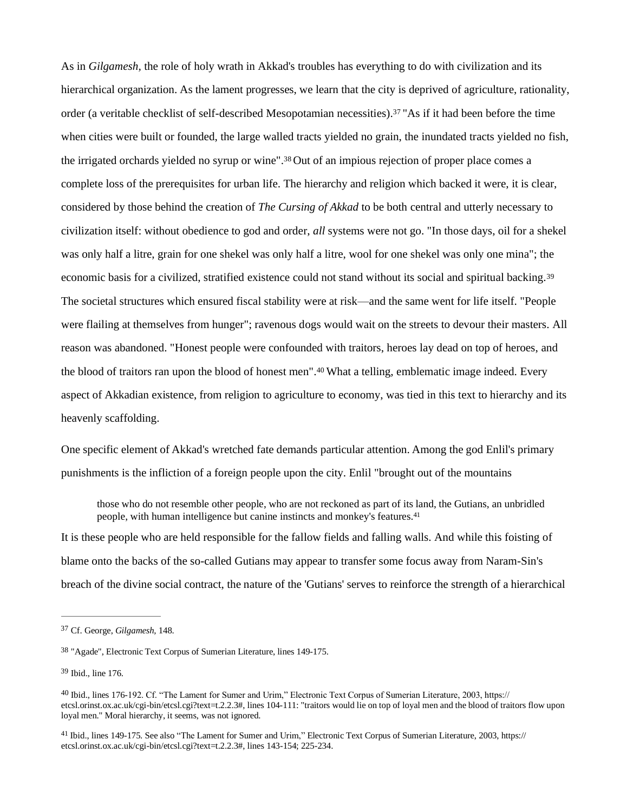As in *Gilgamesh,* the role of holy wrath in Akkad's troubles has everything to do with civilization and its hierarchical organization. As the lament progresses, we learn that the city is deprived of agriculture, rationality, order (a veritable checklist of self-described Mesopotamian necessities).[37](#page-10-0) "As if it had been before the time when cities were built or founded, the large walled tracts yielded no grain, the inundated tracts yielded no fish, the irrigated orchards yielded no syrup or wine". [38](#page-10-1) Out of an impious rejection of proper place comes a complete loss of the prerequisites for urban life. The hierarchy and religion which backed it were, it is clear, considered by those behind the creation of *The Cursing of Akkad* to be both central and utterly necessary to civilization itself: without obedience to god and order, *all* systems were not go. "In those days, oil for a shekel was only half a litre, grain for one shekel was only half a litre, wool for one shekel was only one mina"; the economic basis for a civilized, stratified existence could not stand without its social and spiritual backing.[39](#page-10-2) The societal structures which ensured fiscal stability were at risk—and the same went for life itself. "People were flailing at themselves from hunger"; ravenous dogs would wait on the streets to devour their masters. All reason was abandoned. "Honest people were confounded with traitors, heroes lay dead on top of heroes, and the blood of traitors ran upon the blood of honest men".[40](#page-10-3) What a telling, emblematic image indeed. Every aspect of Akkadian existence, from religion to agriculture to economy, was tied in this text to hierarchy and its heavenly scaffolding.

One specific element of Akkad's wretched fate demands particular attention. Among the god Enlil's primary punishments is the infliction of a foreign people upon the city. Enlil "brought out of the mountains

those who do not resemble other people, who are not reckoned as part of its land, the Gutians, an unbridled people, with human intelligence but canine instincts and monkey's features.[41](#page-10-4)

It is these people who are held responsible for the fallow fields and falling walls. And while this foisting of blame onto the backs of the so-called Gutians may appear to transfer some focus away from Naram-Sin's breach of the divine social contract, the nature of the 'Gutians' serves to reinforce the strength of a hierarchical

<span id="page-10-0"></span><sup>37</sup> Cf. George, *Gilgamesh,* 148.

<span id="page-10-1"></span><sup>38</sup> "Agade", Electronic Text Corpus of Sumerian Literature, lines 149-175.

<span id="page-10-2"></span><sup>39</sup> Ibid., line 176.

<span id="page-10-3"></span><sup>40</sup> Ibid., lines 176-192. Cf. "The Lament for Sumer and Urim," Electronic Text Corpus of Sumerian Literature, 2003, https:// etcsl.orinst.ox.ac.uk/cgi-bin/etcsl.cgi?text=t.2.2.3#, lines 104-111: "traitors would lie on top of loyal men and the blood of traitors flow upon loyal men." Moral hierarchy, it seems, was not ignored.

<span id="page-10-4"></span><sup>41</sup> Ibid., lines 149-175. See also "The Lament for Sumer and Urim," Electronic Text Corpus of Sumerian Literature, 2003, https:// etcsl.orinst.ox.ac.uk/cgi-bin/etcsl.cgi?text=t.2.2.3#, lines 143-154; 225-234.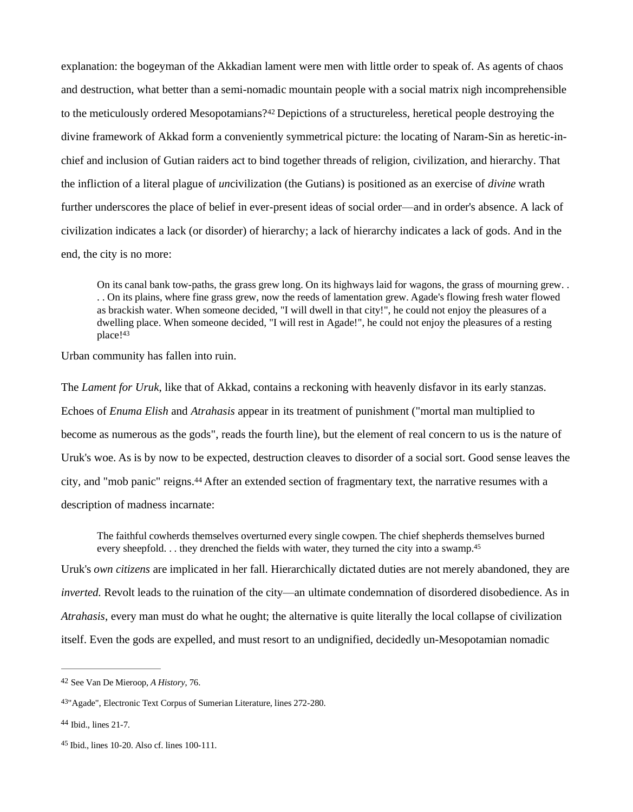explanation: the bogeyman of the Akkadian lament were men with little order to speak of. As agents of chaos and destruction, what better than a semi-nomadic mountain people with a social matrix nigh incomprehensible to the meticulously ordered Mesopotamians?[42](#page-11-0) Depictions of a structureless, heretical people destroying the divine framework of Akkad form a conveniently symmetrical picture: the locating of Naram-Sin as heretic-inchief and inclusion of Gutian raiders act to bind together threads of religion, civilization, and hierarchy. That the infliction of a literal plague of *un*civilization (the Gutians) is positioned as an exercise of *divine* wrath further underscores the place of belief in ever-present ideas of social order—and in order's absence. A lack of civilization indicates a lack (or disorder) of hierarchy; a lack of hierarchy indicates a lack of gods. And in the end, the city is no more:

<span id="page-11-4"></span>On its canal bank tow-paths, the grass grew long. On its highways laid for wagons, the grass of mourning grew. . . . On its plains, where fine grass grew, now the reeds of lamentation grew. Agade's flowing fresh water flowed as brackish water. When someone decided, "I will dwell in that city!", he could not enjoy the pleasures of a dwelling place. When someone decided, "I will rest in Agade!", he could not enjoy the pleasures of a resting place![43](#page-11-1)

Urban community has fallen into ruin.

The *Lament for Uruk*, like that of Akkad, contains a reckoning with heavenly disfavor in its early stanzas. Echoes of *Enuma Elish* and *Atrahasis* appear in its treatment of punishment ("mortal man multiplied to become as numerous as the gods", reads the fourth line), but the element of real concern to us is the nature of Uruk's woe. As is by now to be expected, destruction cleaves to disorder of a social sort. Good sense leaves the city, and "mob panic" reigns.[44](#page-11-2) After an extended section of fragmentary text, the narrative resumes with a description of madness incarnate:

The faithful cowherds themselves overturned every single cowpen. The chief shepherds themselves burned every sheepfold. . . they drenched the fields with water, they turned the city into a swamp.<sup>[45](#page-11-3)</sup>

Uruk's *own citizens* are implicated in her fall. Hierarchically dictated duties are not merely abandoned, they are *inverted.* Revolt leads to the ruination of the city—an ultimate condemnation of disordered disobedience. As in *Atrahasis*, every man must do what he ought; the alternative is quite literally the local collapse of civilization itself. Even the gods are expelled, and must resort to an undignified, decidedly un-Mesopotamian nomadic

<span id="page-11-0"></span><sup>42</sup> See Van De Mieroop, *A History*, 76.

<span id="page-11-1"></span>[<sup>43</sup>](#page-11-4)"Agade", Electronic Text Corpus of Sumerian Literature, lines 272-280.

<span id="page-11-2"></span><sup>44</sup> Ibid., lines 21-7.

<span id="page-11-3"></span><sup>45</sup> Ibid., lines 10-20. Also cf. lines 100-111.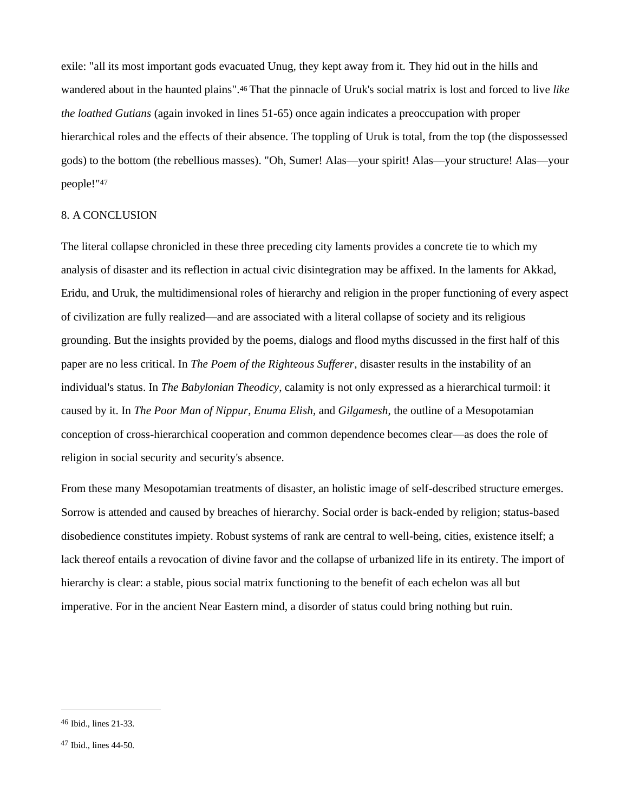exile: "all its most important gods evacuated Unug, they kept away from it. They hid out in the hills and wandered about in the haunted plains".[46](#page-12-0) That the pinnacle of Uruk's social matrix is lost and forced to live *like the loathed Gutians* (again invoked in lines 51-65) once again indicates a preoccupation with proper hierarchical roles and the effects of their absence. The toppling of Uruk is total, from the top (the dispossessed gods) to the bottom (the rebellious masses). "Oh, Sumer! Alas—your spirit! Alas—your structure! Alas—your people!"[47](#page-12-1)

#### 8. A CONCLUSION

The literal collapse chronicled in these three preceding city laments provides a concrete tie to which my analysis of disaster and its reflection in actual civic disintegration may be affixed. In the laments for Akkad, Eridu, and Uruk, the multidimensional roles of hierarchy and religion in the proper functioning of every aspect of civilization are fully realized—and are associated with a literal collapse of society and its religious grounding. But the insights provided by the poems, dialogs and flood myths discussed in the first half of this paper are no less critical. In *The Poem of the Righteous Sufferer*, disaster results in the instability of an individual's status. In *The Babylonian Theodicy*, calamity is not only expressed as a hierarchical turmoil: it caused by it. In *The Poor Man of Nippur*, *Enuma Elish*, and *Gilgamesh*, the outline of a Mesopotamian conception of cross-hierarchical cooperation and common dependence becomes clear—as does the role of religion in social security and security's absence.

From these many Mesopotamian treatments of disaster, an holistic image of self-described structure emerges. Sorrow is attended and caused by breaches of hierarchy. Social order is back-ended by religion; status-based disobedience constitutes impiety. Robust systems of rank are central to well-being, cities, existence itself; a lack thereof entails a revocation of divine favor and the collapse of urbanized life in its entirety. The import of hierarchy is clear: a stable, pious social matrix functioning to the benefit of each echelon was all but imperative. For in the ancient Near Eastern mind, a disorder of status could bring nothing but ruin.

<span id="page-12-0"></span> $46$  Ibid., lines  $21-33$ .

<span id="page-12-1"></span><sup>47</sup> Ibid., lines 44-50.